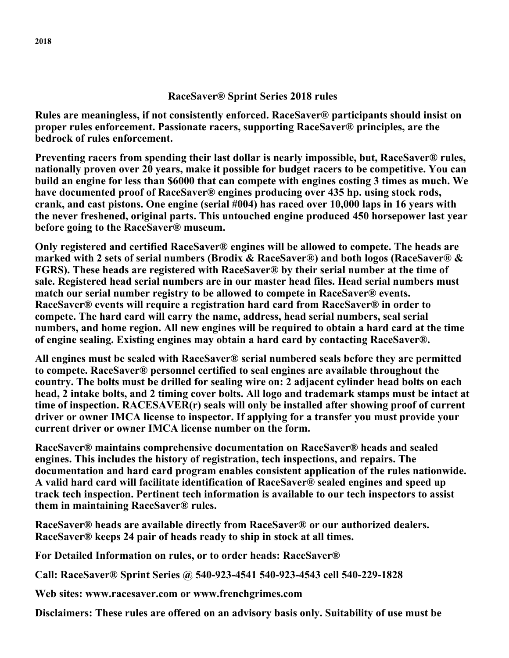#### **RaceSaver® Sprint Series 2018 rules**

**Rules are meaningless, if not consistently enforced. RaceSaver® participants should insist on proper rules enforcement. Passionate racers, supporting RaceSaver® principles, are the bedrock of rules enforcement.** 

**Preventing racers from spending their last dollar is nearly impossible, but, RaceSaver® rules, nationally proven over 20 years, make it possible for budget racers to be competitive. You can build an engine for less than \$6000 that can compete with engines costing 3 times as much. We have documented proof of RaceSaver® engines producing over 435 hp. using stock rods, crank, and cast pistons. One engine (serial #004) has raced over 10,000 laps in 16 years with the never freshened, original parts. This untouched engine produced 450 horsepower last year before going to the RaceSaver® museum.**

**Only registered and certified RaceSaver® engines will be allowed to compete. The heads are marked with 2 sets of serial numbers (Brodix & RaceSaver®) and both logos (RaceSaver® & FGRS). These heads are registered with RaceSaver® by their serial number at the time of sale. Registered head serial numbers are in our master head files. Head serial numbers must match our serial number registry to be allowed to compete in RaceSaver® events. RaceSaver® events will require a registration hard card from RaceSaver® in order to compete. The hard card will carry the name, address, head serial numbers, seal serial numbers, and home region. All new engines will be required to obtain a hard card at the time of engine sealing. Existing engines may obtain a hard card by contacting RaceSaver®.**

**All engines must be sealed with RaceSaver® serial numbered seals before they are permitted to compete. RaceSaver® personnel certified to seal engines are available throughout the country. The bolts must be drilled for sealing wire on: 2 adjacent cylinder head bolts on each head, 2 intake bolts, and 2 timing cover bolts. All logo and trademark stamps must be intact at time of inspection. RACESAVER(r) seals will only be installed after showing proof of current driver or owner IMCA license to inspector. If applying for a transfer you must provide your current driver or owner IMCA license number on the form.** 

**RaceSaver® maintains comprehensive documentation on RaceSaver® heads and sealed engines. This includes the history of registration, tech inspections, and repairs. The documentation and hard card program enables consistent application of the rules nationwide. A valid hard card will facilitate identification of RaceSaver® sealed engines and speed up track tech inspection. Pertinent tech information is available to our tech inspectors to assist them in maintaining RaceSaver® rules.**

**RaceSaver® heads are available directly from RaceSaver® or our authorized dealers. RaceSaver® keeps 24 pair of heads ready to ship in stock at all times.**

**For Detailed Information on rules, or to order heads: RaceSaver®**

**Call: RaceSaver® Sprint Series @ 540-923-4541 540-923-4543 cell 540-229-1828**

**Web sites: www.racesaver.com or www.frenchgrimes.com** 

**Disclaimers: These rules are offered on an advisory basis only. Suitability of use must be**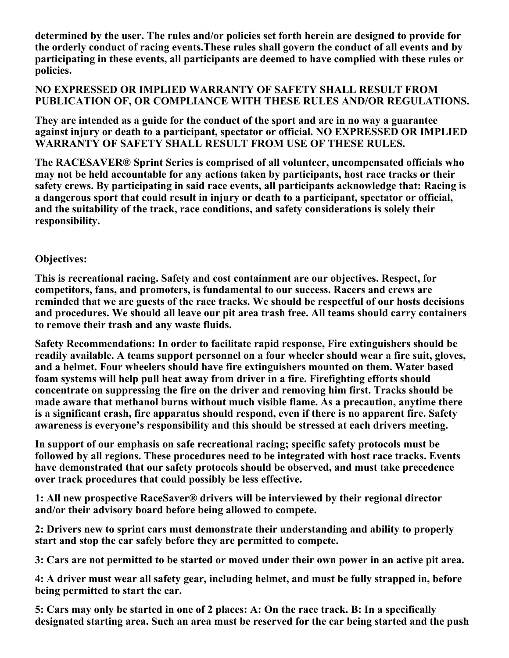**determined by the user. The rules and/or policies set forth herein are designed to provide for the orderly conduct of racing events.These rules shall govern the conduct of all events and by participating in these events, all participants are deemed to have complied with these rules or policies.**

## **NO EXPRESSED OR IMPLIED WARRANTY OF SAFETY SHALL RESULT FROM PUBLICATION OF, OR COMPLIANCE WITH THESE RULES AND/OR REGULATIONS.**

**They are intended as a guide for the conduct of the sport and are in no way a guarantee against injury or death to a participant, spectator or official. NO EXPRESSED OR IMPLIED WARRANTY OF SAFETY SHALL RESULT FROM USE OF THESE RULES.**

**The RACESAVER® Sprint Series is comprised of all volunteer, uncompensated officials who may not be held accountable for any actions taken by participants, host race tracks or their safety crews. By participating in said race events, all participants acknowledge that: Racing is a dangerous sport that could result in injury or death to a participant, spectator or official, and the suitability of the track, race conditions, and safety considerations is solely their responsibility.**

# **Objectives:**

**This is recreational racing. Safety and cost containment are our objectives. Respect, for competitors, fans, and promoters, is fundamental to our success. Racers and crews are reminded that we are guests of the race tracks. We should be respectful of our hosts decisions and procedures. We should all leave our pit area trash free. All teams should carry containers to remove their trash and any waste fluids.** 

**Safety Recommendations: In order to facilitate rapid response, Fire extinguishers should be readily available. A teams support personnel on a four wheeler should wear a fire suit, gloves, and a helmet. Four wheelers should have fire extinguishers mounted on them. Water based foam systems will help pull heat away from driver in a fire. Firefighting efforts should concentrate on suppressing the fire on the driver and removing him first. Tracks should be made aware that methanol burns without much visible flame. As a precaution, anytime there is a significant crash, fire apparatus should respond, even if there is no apparent fire. Safety awareness is everyone's responsibility and this should be stressed at each drivers meeting.** 

**In support of our emphasis on safe recreational racing; specific safety protocols must be followed by all regions. These procedures need to be integrated with host race tracks. Events have demonstrated that our safety protocols should be observed, and must take precedence over track procedures that could possibly be less effective.** 

**1: All new prospective RaceSaver® drivers will be interviewed by their regional director and/or their advisory board before being allowed to compete.**

**2: Drivers new to sprint cars must demonstrate their understanding and ability to properly start and stop the car safely before they are permitted to compete.** 

**3: Cars are not permitted to be started or moved under their own power in an active pit area.**

**4: A driver must wear all safety gear, including helmet, and must be fully strapped in, before being permitted to start the car.**

**5: Cars may only be started in one of 2 places: A: On the race track. B: In a specifically designated starting area. Such an area must be reserved for the car being started and the push**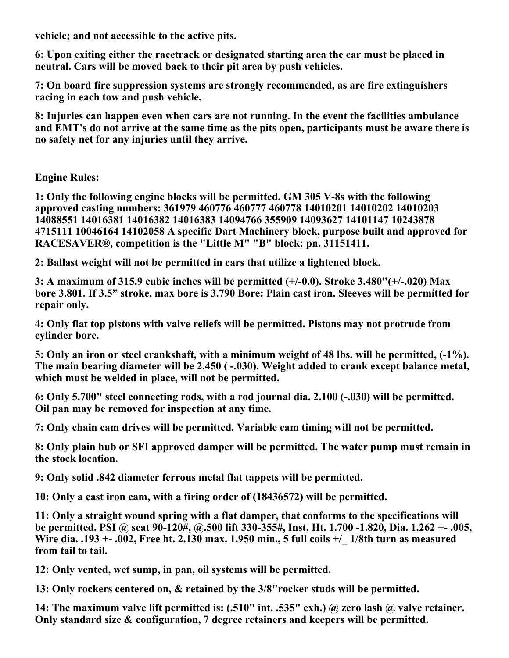**vehicle; and not accessible to the active pits.**

**6: Upon exiting either the racetrack or designated starting area the car must be placed in neutral. Cars will be moved back to their pit area by push vehicles.**

**7: On board fire suppression systems are strongly recommended, as are fire extinguishers racing in each tow and push vehicle.**

**8: Injuries can happen even when cars are not running. In the event the facilities ambulance and EMT's do not arrive at the same time as the pits open, participants must be aware there is no safety net for any injuries until they arrive.**

**Engine Rules:**

**1: Only the following engine blocks will be permitted. GM 305 V-8s with the following approved casting numbers: 361979 460776 460777 460778 14010201 14010202 14010203 14088551 14016381 14016382 14016383 14094766 355909 14093627 14101147 10243878 4715111 10046164 14102058 A specific Dart Machinery block, purpose built and approved for RACESAVER®, competition is the "Little M" "B" block: pn. 31151411.**

**2: Ballast weight will not be permitted in cars that utilize a lightened block.**

**3: A maximum of 315.9 cubic inches will be permitted (+/-0.0). Stroke 3.480"(+/-.020) Max bore 3.801. If 3.5" stroke, max bore is 3.790 Bore: Plain cast iron. Sleeves will be permitted for repair only.** 

**4: Only flat top pistons with valve reliefs will be permitted. Pistons may not protrude from cylinder bore.** 

**5: Only an iron or steel crankshaft, with a minimum weight of 48 lbs. will be permitted, (-1%). The main bearing diameter will be 2.450 ( -.030). Weight added to crank except balance metal, which must be welded in place, will not be permitted.** 

**6: Only 5.700" steel connecting rods, with a rod journal dia. 2.100 (-.030) will be permitted. Oil pan may be removed for inspection at any time.**

**7: Only chain cam drives will be permitted. Variable cam timing will not be permitted.**

**8: Only plain hub or SFI approved damper will be permitted. The water pump must remain in the stock location.**

**9: Only solid .842 diameter ferrous metal flat tappets will be permitted.**

**10: Only a cast iron cam, with a firing order of (18436572) will be permitted.**

**11: Only a straight wound spring with a flat damper, that conforms to the specifications will be permitted. PSI @ seat 90-120#, @.500 lift 330-355#, Inst. Ht. 1.700 -1.820, Dia. 1.262 +- .005, Wire dia. .193 +- .002, Free ht. 2.130 max. 1.950 min., 5 full coils +/\_ 1/8th turn as measured from tail to tail.** 

**12: Only vented, wet sump, in pan, oil systems will be permitted.** 

**13: Only rockers centered on, & retained by the 3/8"rocker studs will be permitted.** 

**14: The maximum valve lift permitted is: (.510" int. .535" exh.) @ zero lash @ valve retainer. Only standard size & configuration, 7 degree retainers and keepers will be permitted.**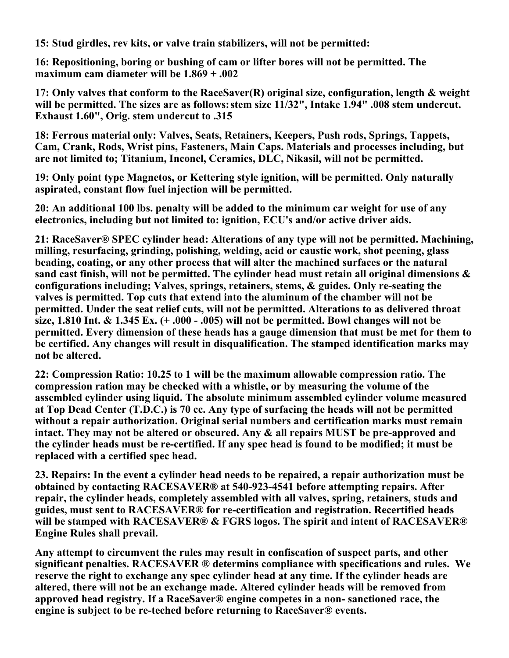**15: Stud girdles, rev kits, or valve train stabilizers, will not be permitted:**

**16: Repositioning, boring or bushing of cam or lifter bores will not be permitted. The maximum cam diameter will be 1.869 + .002**

**17: Only valves that conform to the RaceSaver(R) original size, configuration, length & weight will be permitted. The sizes are as follows: stem size 11/32", Intake 1.94" .008 stem undercut. Exhaust 1.60", Orig. stem undercut to .315**

**18: Ferrous material only: Valves, Seats, Retainers, Keepers, Push rods, Springs, Tappets, Cam, Crank, Rods, Wrist pins, Fasteners, Main Caps. Materials and processes including, but are not limited to; Titanium, Inconel, Ceramics, DLC, Nikasil, will not be permitted.** 

**19: Only point type Magnetos, or Kettering style ignition, will be permitted. Only naturally aspirated, constant flow fuel injection will be permitted.** 

**20: An additional 100 lbs. penalty will be added to the minimum car weight for use of any electronics, including but not limited to: ignition, ECU's and/or active driver aids.** 

**21: RaceSaver® SPEC cylinder head: Alterations of any type will not be permitted. Machining, milling, resurfacing, grinding, polishing, welding, acid or caustic work, shot peening, glass beading, coating, or any other process that will alter the machined surfaces or the natural sand cast finish, will not be permitted. The cylinder head must retain all original dimensions & configurations including; Valves, springs, retainers, stems, & guides. Only re-seating the valves is permitted. Top cuts that extend into the aluminum of the chamber will not be permitted. Under the seat relief cuts, will not be permitted. Alterations to as delivered throat size, 1.810 Int. & 1.345 Ex. (+ .000 - .005) will not be permitted. Bowl changes will not be permitted. Every dimension of these heads has a gauge dimension that must be met for them to be certified. Any changes will result in disqualification. The stamped identification marks may not be altered.**

**22: Compression Ratio: 10.25 to 1 will be the maximum allowable compression ratio. The compression ration may be checked with a whistle, or by measuring the volume of the assembled cylinder using liquid. The absolute minimum assembled cylinder volume measured at Top Dead Center (T.D.C.) is 70 cc. Any type of surfacing the heads will not be permitted without a repair authorization. Original serial numbers and certification marks must remain intact. They may not be altered or obscured. Any & all repairs MUST be pre-approved and the cylinder heads must be re-certified. If any spec head is found to be modified; it must be replaced with a certified spec head.** 

**23. Repairs: In the event a cylinder head needs to be repaired, a repair authorization must be obtained by contacting RACESAVER® at 540-923-4541 before attempting repairs. After repair, the cylinder heads, completely assembled with all valves, spring, retainers, studs and guides, must sent to RACESAVER® for re-certification and registration. Recertified heads will be stamped with RACESAVER® & FGRS logos. The spirit and intent of RACESAVER® Engine Rules shall prevail.** 

**Any attempt to circumvent the rules may result in confiscation of suspect parts, and other significant penalties. RACESAVER ® determins compliance with specifications and rules. We reserve the right to exchange any spec cylinder head at any time. If the cylinder heads are altered, there will not be an exchange made. Altered cylinder heads will be removed from approved head registry. If a RaceSaver® engine competes in a non- sanctioned race, the engine is subject to be re-teched before returning to RaceSaver® events.**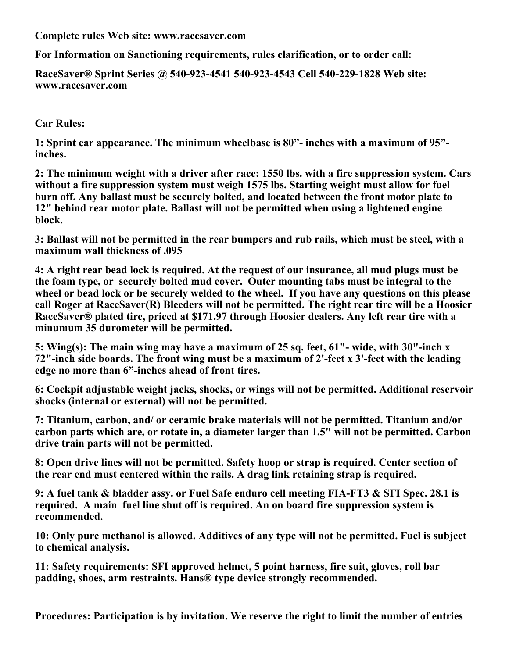**Complete rules Web site: www.racesaver.com** 

**For Information on Sanctioning requirements, rules clarification, or to order call:**

**RaceSaver® Sprint Series @ 540-923-4541 540-923-4543 Cell 540-229-1828 Web site: www.racesaver.com** 

**Car Rules:**

**1: Sprint car appearance. The minimum wheelbase is 80"- inches with a maximum of 95" inches.**

**2: The minimum weight with a driver after race: 1550 lbs. with a fire suppression system. Cars without a fire suppression system must weigh 1575 lbs. Starting weight must allow for fuel burn off. Any ballast must be securely bolted, and located between the front motor plate to 12" behind rear motor plate. Ballast will not be permitted when using a lightened engine block.** 

**3: Ballast will not be permitted in the rear bumpers and rub rails, which must be steel, with a maximum wall thickness of .095**

**4: A right rear bead lock is required. At the request of our insurance, all mud plugs must be the foam type, or securely bolted mud cover. Outer mounting tabs must be integral to the wheel or bead lock or be securely welded to the wheel. If you have any questions on this please call Roger at RaceSaver(R) Bleeders will not be permitted. The right rear tire will be a Hoosier RaceSaver® plated tire, priced at \$171.97 through Hoosier dealers. Any left rear tire with a minumum 35 durometer will be permitted.** 

**5: Wing(s): The main wing may have a maximum of 25 sq. feet, 61"- wide, with 30"-inch x 72"-inch side boards. The front wing must be a maximum of 2'-feet x 3'-feet with the leading edge no more than 6"-inches ahead of front tires.** 

**6: Cockpit adjustable weight jacks, shocks, or wings will not be permitted. Additional reservoir shocks (internal or external) will not be permitted.**

**7: Titanium, carbon, and/ or ceramic brake materials will not be permitted. Titanium and/or carbon parts which are, or rotate in, a diameter larger than 1.5" will not be permitted. Carbon drive train parts will not be permitted.**

**8: Open drive lines will not be permitted. Safety hoop or strap is required. Center section of the rear end must centered within the rails. A drag link retaining strap is required.**

**9: A fuel tank & bladder assy. or Fuel Safe enduro cell meeting FIA-FT3 & SFI Spec. 28.1 is required. A main fuel line shut off is required. An on board fire suppression system is recommended.**

**10: Only pure methanol is allowed. Additives of any type will not be permitted. Fuel is subject to chemical analysis.**

**11: Safety requirements: SFI approved helmet, 5 point harness, fire suit, gloves, roll bar padding, shoes, arm restraints. Hans® type device strongly recommended.**

**Procedures: Participation is by invitation. We reserve the right to limit the number of entries**